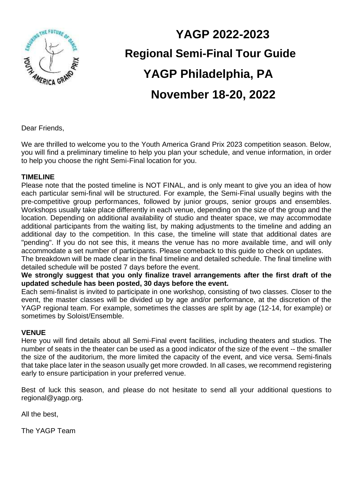

# **YAGP 2022-2023 Regional Semi-Final Tour Guide YAGP Philadelphia, PA November 18-20, 2022**

Dear Friends,

We are thrilled to welcome you to the Youth America Grand Prix 2023 competition season. Below, you will find a preliminary timeline to help you plan your schedule, and venue information, in order to help you choose the right Semi-Final location for you.

#### **TIMELINE**

Please note that the posted timeline is NOT FINAL, and is only meant to give you an idea of how each particular semi-final will be structured. For example, the Semi-Final usually begins with the pre-competitive group performances, followed by junior groups, senior groups and ensembles. Workshops usually take place differently in each venue, depending on the size of the group and the location. Depending on additional availability of studio and theater space, we may accommodate additional participants from the waiting list, by making adjustments to the timeline and adding an additional day to the competition. In this case, the timeline will state that additional dates are "pending". If you do not see this, it means the venue has no more available time, and will only accommodate a set number of participants. Please comeback to this guide to check on updates.

The breakdown will be made clear in the final timeline and detailed schedule. The final timeline with detailed schedule will be posted 7 days before the event.

**We strongly suggest that you only finalize travel arrangements after the first draft of the updated schedule has been posted, 30 days before the event.** 

Each semi-finalist is invited to participate in one workshop, consisting of two classes. Closer to the event, the master classes will be divided up by age and/or performance, at the discretion of the YAGP regional team. For example, sometimes the classes are split by age (12-14, for example) or sometimes by Soloist/Ensemble.

#### **VENUE**

Here you will find details about all Semi-Final event facilities, including theaters and studios. The number of seats in the theater can be used as a good indicator of the size of the event -- the smaller the size of the auditorium, the more limited the capacity of the event, and vice versa. Semi-finals that take place later in the season usually get more crowded. In all cases, we recommend registering early to ensure participation in your preferred venue.

Best of luck this season, and please do not hesitate to send all your additional questions to regional@yagp.org.

All the best,

The YAGP Team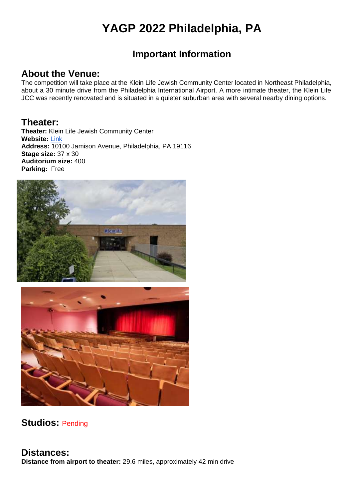# **YAGP 2022 Philadelphia, PA**

### **Important Information**

#### **About the Venue:**

The competition will take place at the Klein Life Jewish Community Center located in Northeast Philadelphia, about a 30 minute drive from the Philadelphia International Airport. A more intimate theater, the Klein Life JCC was recently renovated and is situated in a quieter suburban area with several nearby dining options.

#### **Theater:**

**Theater:** Klein Life Jewish Community Center **Website:** [Link](https://kleinlife.org/) **Address:** 10100 Jamison Avenue, Philadelphia, PA 19116 **Stage size:** 37 x 30 **Auditorium size:** 400 **Parking:** Free





#### **Studios:** Pending